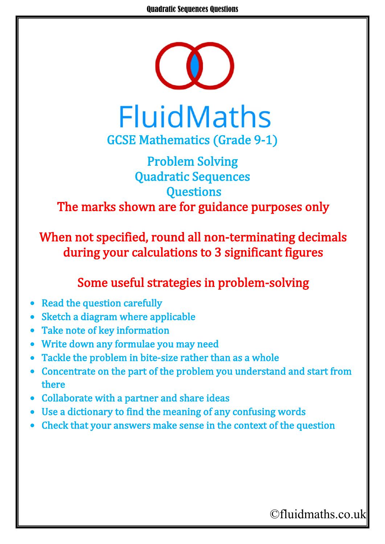

## Problem Solving Quadratic Sequences **Questions** The marks shown are for guidance purposes only

When not specified, round all non-terminating decimals during your calculations to 3 significant figures

## Some useful strategies in problem-solving

- **Read the question carefully**
- Sketch a diagram where applicable
- Take note of key information
- Write down any formulae you may need
- Tackle the problem in bite-size rather than as a whole
- Concentrate on the part of the problem you understand and start from there
- Collaborate with a partner and share ideas
- Use a dictionary to find the meaning of any confusing words
- Check that your answers make sense in the context of the question

## ©fluidmaths.co.uk